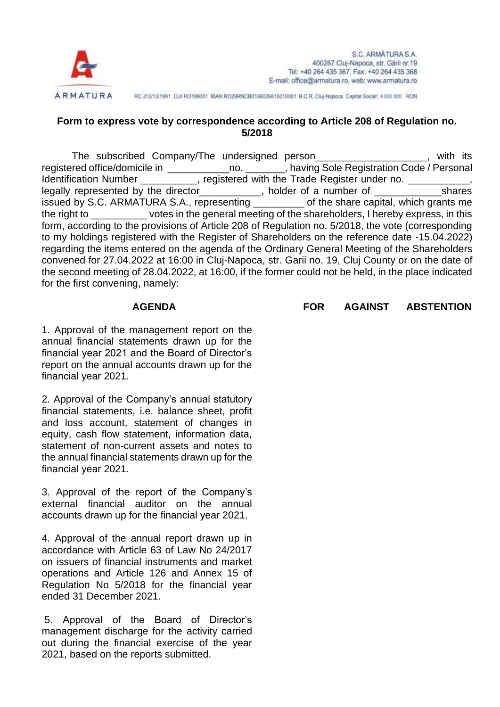

RC J12/13/1991 CUI RO199001 IBAN RO29RNCB0106026615010001 B.C.R. Cluj-Napoca Capital Social: 4.000.000 RON

## **Form to express vote by correspondence according to Article 208 of Regulation no. 5/2018**

The subscribed Company/The undersigned person The subscribed Company/The undersigned person registered office/domicile in \_\_\_\_\_\_\_\_\_\_\_\_\_\_\_no. \_\_\_\_\_\_\_\_, having Sole Registration Code / Personal Identification Number equistered with the Trade Register under no. legally represented by the director\_\_\_\_\_\_\_\_\_\_, holder of a number of \_\_\_\_\_\_\_\_\_\_\_\_\_shares issued by S.C. ARMATURA S.A., representing \_\_\_\_\_\_\_\_\_ of the share capital, which grants me the right to \_\_\_\_\_\_\_\_\_\_ votes in the general meeting of the shareholders, I hereby express, in this form, according to the provisions of Article 208 of Regulation no. 5/2018, the vote (corresponding to my holdings registered with the Register of Shareholders on the reference date -15.04.2022) regarding the items entered on the agenda of the Ordinary General Meeting of the Shareholders convened for 27.04.2022 at 16:00 in Cluj-Napoca, str. Garii no. 19, Cluj County or on the date of the second meeting of 28.04.2022, at 16:00, if the former could not be held, in the place indicated for the first convening, namely:

1. Approval of the management report on the annual financial statements drawn up for the financial year 2021 and the Board of Director's report on the annual accounts drawn up for the financial year 2021.

2. Approval of the Company's annual statutory financial statements, i.e. balance sheet, profit and loss account, statement of changes in equity, cash flow statement, information data, statement of non-current assets and notes to the annual financial statements drawn up for the financial year 2021.

3. Approval of the report of the Company's external financial auditor on the annual accounts drawn up for the financial year 2021.

4. Approval of the annual report drawn up in accordance with Article 63 of Law No 24/2017 on issuers of financial instruments and market operations and Article 126 and Annex 15 of Regulation No 5/2018 for the financial year ended 31 December 2021.

5. Approval of the Board of Director's management discharge for the activity carried out during the financial exercise of the year 2021, based on the reports submitted.

## **AGENDA FOR AGAINST ABSTENTION**